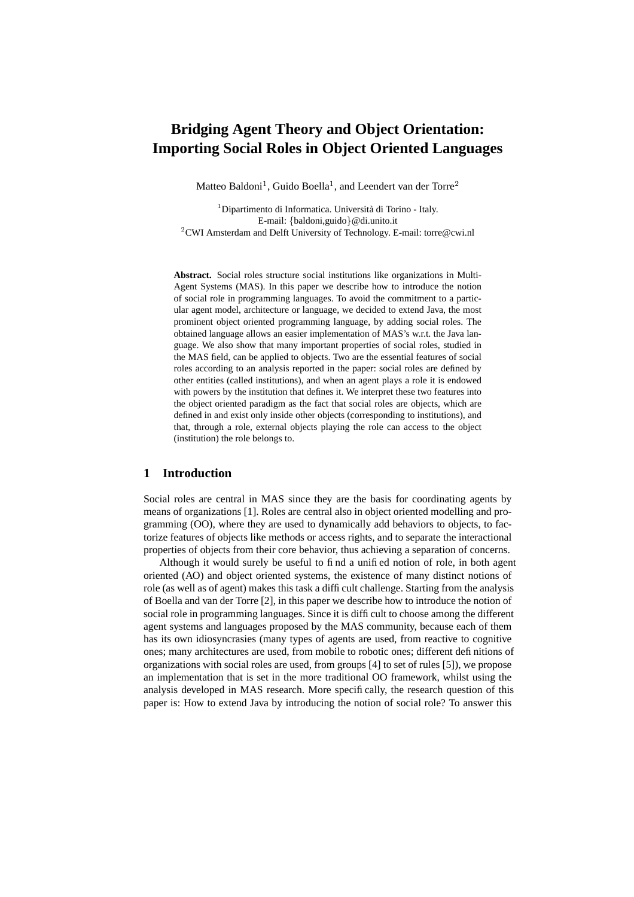# **Bridging Agent Theory and Object Orientation: Importing Social Roles in Object Oriented Languages**

Matteo Baldoni<sup>1</sup>, Guido Boella<sup>1</sup>, and Leendert van der Torre<sup>2</sup>

 $1$ Dipartimento di Informatica. Università di Torino - Italy. E-mail: {baldoni,guido}@di.unito.it <sup>2</sup>CWI Amsterdam and Delft University of Technology. E-mail: torre@cwi.nl

**Abstract.** Social roles structure social institutions like organizations in Multi-Agent Systems (MAS). In this paper we describe how to introduce the notion of social role in programming languages. To avoid the commitment to a particular agent model, architecture or language, we decided to extend Java, the most prominent object oriented programming language, by adding social roles. The obtained language allows an easier implementation of MAS's w.r.t. the Java language. We also show that many important properties of social roles, studied in the MAS field, can be applied to objects. Two are the essential features of social roles according to an analysis reported in the paper: social roles are defined by other entities (called institutions), and when an agent plays a role it is endowed with powers by the institution that defines it. We interpret these two features into the object oriented paradigm as the fact that social roles are objects, which are defined in and exist only inside other objects (corresponding to institutions), and that, through a role, external objects playing the role can access to the object (institution) the role belongs to.

# **1 Introduction**

Social roles are central in MAS since they are the basis for coordinating agents by means of organizations [1]. Roles are central also in object oriented modelling and programming (OO), where they are used to dynamically add behaviors to objects, to factorize features of objects like methods or access rights, and to separate the interactional properties of objects from their core behavior, thus achieving a separation of concerns.

Although it would surely be useful to find a unified notion of role, in both agent oriented (AO) and object oriented systems, the existence of many distinct notions of role (as well as of agent) makes this task a difficult challenge. Starting from the analysis of Boella and van der Torre [2], in this paper we describe how to introduce the notion of social role in programming languages. Since it is difficult to choose among the different agent systems and languages proposed by the MAS community, because each of them has its own idiosyncrasies (many types of agents are used, from reactive to cognitive ones; many architectures are used, from mobile to robotic ones; different definitions of organizations with social roles are used, from groups [4] to set of rules [5]), we propose an implementation that is set in the more traditional OO framework, whilst using the analysis developed in MAS research. More specifically, the research question of this paper is: How to extend Java by introducing the notion of social role? To answer this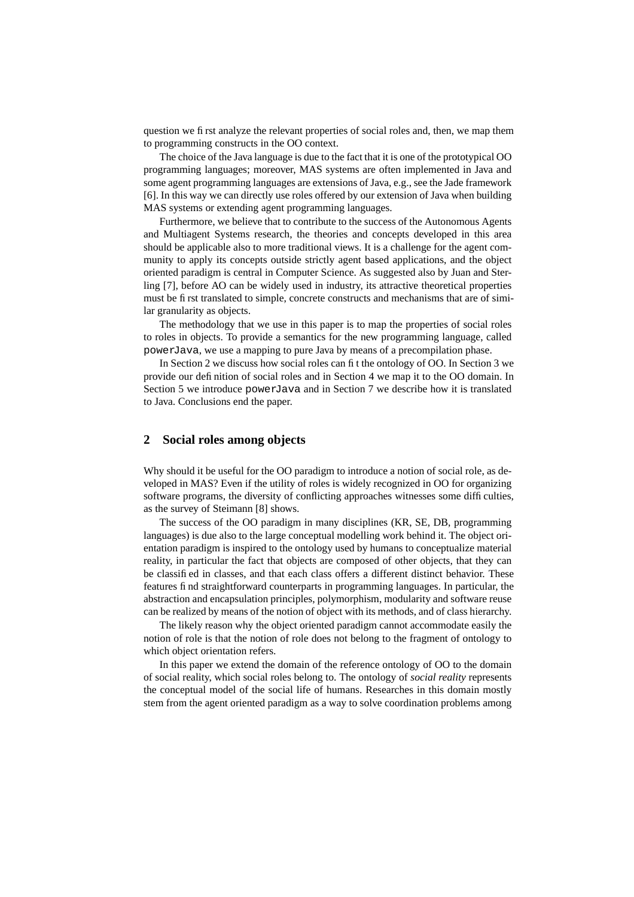question we first analyze the relevant properties of social roles and, then, we map them to programming constructs in the OO context.

The choice of the Java language is due to the fact that it is one of the prototypical OO programming languages; moreover, MAS systems are often implemented in Java and some agent programming languages are extensions of Java, e.g., see the Jade framework [6]. In this way we can directly use roles offered by our extension of Java when building MAS systems or extending agent programming languages.

Furthermore, we believe that to contribute to the success of the Autonomous Agents and Multiagent Systems research, the theories and concepts developed in this area should be applicable also to more traditional views. It is a challenge for the agent community to apply its concepts outside strictly agent based applications, and the object oriented paradigm is central in Computer Science. As suggested also by Juan and Sterling [7], before AO can be widely used in industry, its attractive theoretical properties must be first translated to simple, concrete constructs and mechanisms that are of similar granularity as objects.

The methodology that we use in this paper is to map the properties of social roles to roles in objects. To provide a semantics for the new programming language, called powerJava, we use a mapping to pure Java by means of a precompilation phase.

In Section 2 we discuss how social roles can fit the ontology of OO. In Section 3 we provide our definition of social roles and in Section 4 we map it to the OO domain. In Section 5 we introduce powerJava and in Section 7 we describe how it is translated to Java. Conclusions end the paper.

## **2 Social roles among objects**

Why should it be useful for the OO paradigm to introduce a notion of social role, as developed in MAS? Even if the utility of roles is widely recognized in OO for organizing software programs, the diversity of conflicting approaches witnesses some difficulties, as the survey of Steimann [8] shows.

The success of the OO paradigm in many disciplines (KR, SE, DB, programming languages) is due also to the large conceptual modelling work behind it. The object orientation paradigm is inspired to the ontology used by humans to conceptualize material reality, in particular the fact that objects are composed of other objects, that they can be classified in classes, and that each class offers a different distinct behavior. These features find straightforward counterparts in programming languages. In particular, the abstraction and encapsulation principles, polymorphism, modularity and software reuse can be realized by means of the notion of object with its methods, and of class hierarchy.

The likely reason why the object oriented paradigm cannot accommodate easily the notion of role is that the notion of role does not belong to the fragment of ontology to which object orientation refers.

In this paper we extend the domain of the reference ontology of OO to the domain of social reality, which social roles belong to. The ontology of *social reality* represents the conceptual model of the social life of humans. Researches in this domain mostly stem from the agent oriented paradigm as a way to solve coordination problems among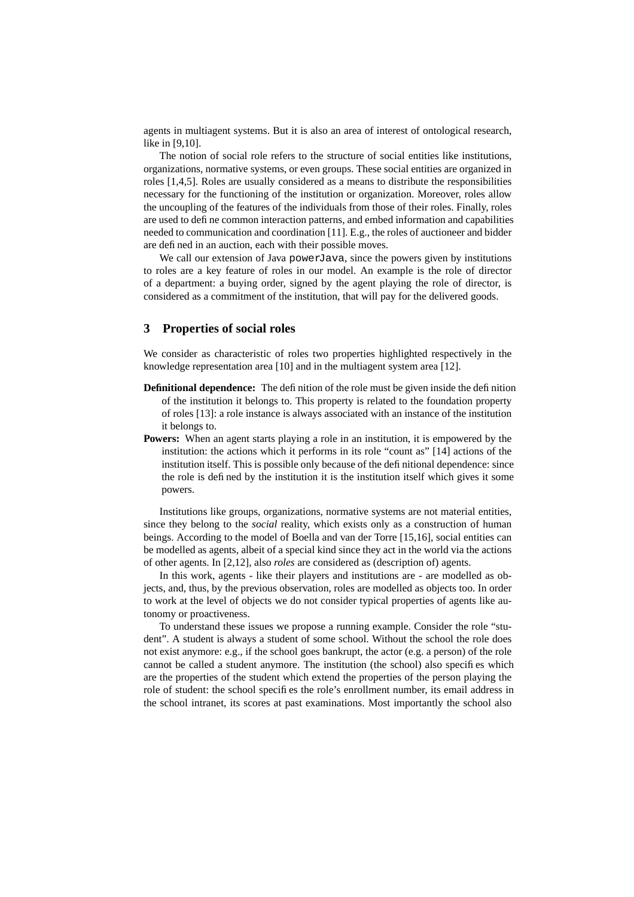agents in multiagent systems. But it is also an area of interest of ontological research, like in [9,10].

The notion of social role refers to the structure of social entities like institutions, organizations, normative systems, or even groups. These social entities are organized in roles [1,4,5]. Roles are usually considered as a means to distribute the responsibilities necessary for the functioning of the institution or organization. Moreover, roles allow the uncoupling of the features of the individuals from those of their roles. Finally, roles are used to define common interaction patterns, and embed information and capabilities needed to communication and coordination [11]. E.g., the roles of auctioneer and bidder are defined in an auction, each with their possible moves.

We call our extension of Java powerJava, since the powers given by institutions to roles are a key feature of roles in our model. An example is the role of director of a department: a buying order, signed by the agent playing the role of director, is considered as a commitment of the institution, that will pay for the delivered goods.

## **3 Properties of social roles**

We consider as characteristic of roles two properties highlighted respectively in the knowledge representation area [10] and in the multiagent system area [12].

- **Definitional dependence:** The definition of the role must be given inside the definition of the institution it belongs to. This property is related to the foundation property of roles [13]: a role instance is always associated with an instance of the institution it belongs to.
- **Powers:** When an agent starts playing a role in an institution, it is empowered by the institution: the actions which it performs in its role "count as" [14] actions of the institution itself. This is possible only because of the definitional dependence: since the role is defined by the institution it is the institution itself which gives it some powers.

Institutions like groups, organizations, normative systems are not material entities, since they belong to the *social* reality, which exists only as a construction of human beings. According to the model of Boella and van der Torre [15,16], social entities can be modelled as agents, albeit of a special kind since they act in the world via the actions of other agents. In [2,12], also *roles* are considered as (description of) agents.

In this work, agents - like their players and institutions are - are modelled as objects, and, thus, by the previous observation, roles are modelled as objects too. In order to work at the level of objects we do not consider typical properties of agents like autonomy or proactiveness.

To understand these issues we propose a running example. Consider the role "student". A student is always a student of some school. Without the school the role does not exist anymore: e.g., if the school goes bankrupt, the actor (e.g. a person) of the role cannot be called a student anymore. The institution (the school) also specifies which are the properties of the student which extend the properties of the person playing the role of student: the school specifies the role's enrollment number, its email address in the school intranet, its scores at past examinations. Most importantly the school also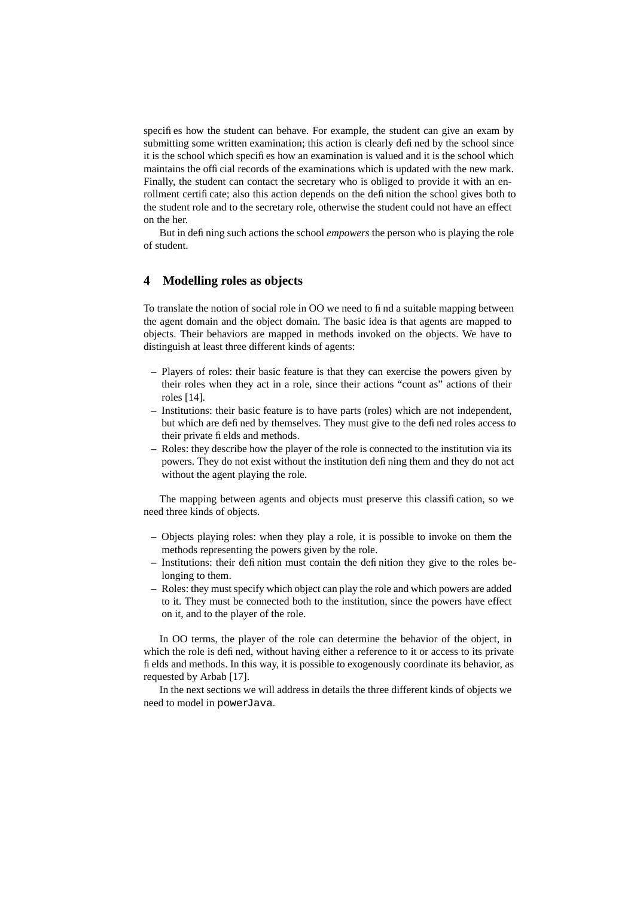specifies how the student can behave. For example, the student can give an exam by submitting some written examination; this action is clearly defined by the school since it is the school which specifies how an examination is valued and it is the school which maintains the official records of the examinations which is updated with the new mark. Finally, the student can contact the secretary who is obliged to provide it with an enrollment certificate; also this action depends on the definition the school gives both to the student role and to the secretary role, otherwise the student could not have an effect on the her.

But in defining such actions the school *empowers* the person who is playing the role of student.

## **4 Modelling roles as objects**

To translate the notion of social role in OO we need to find a suitable mapping between the agent domain and the object domain. The basic idea is that agents are mapped to objects. Their behaviors are mapped in methods invoked on the objects. We have to distinguish at least three different kinds of agents:

- **–** Players of roles: their basic feature is that they can exercise the powers given by their roles when they act in a role, since their actions "count as" actions of their roles [14].
- **–** Institutions: their basic feature is to have parts (roles) which are not independent, but which are defined by themselves. They must give to the defined roles access to their private fields and methods.
- **–** Roles: they describe how the player of the role is connected to the institution via its powers. They do not exist without the institution defining them and they do not act without the agent playing the role.

The mapping between agents and objects must preserve this classification, so we need three kinds of objects.

- **–** Objects playing roles: when they play a role, it is possible to invoke on them the methods representing the powers given by the role.
- **–** Institutions: their definition must contain the definition they give to the roles belonging to them.
- **–** Roles: they must specify which object can play the role and which powers are added to it. They must be connected both to the institution, since the powers have effect on it, and to the player of the role.

In OO terms, the player of the role can determine the behavior of the object, in which the role is defined, without having either a reference to it or access to its private fields and methods. In this way, it is possible to exogenously coordinate its behavior, as requested by Arbab [17].

In the next sections we will address in details the three different kinds of objects we need to model in powerJava.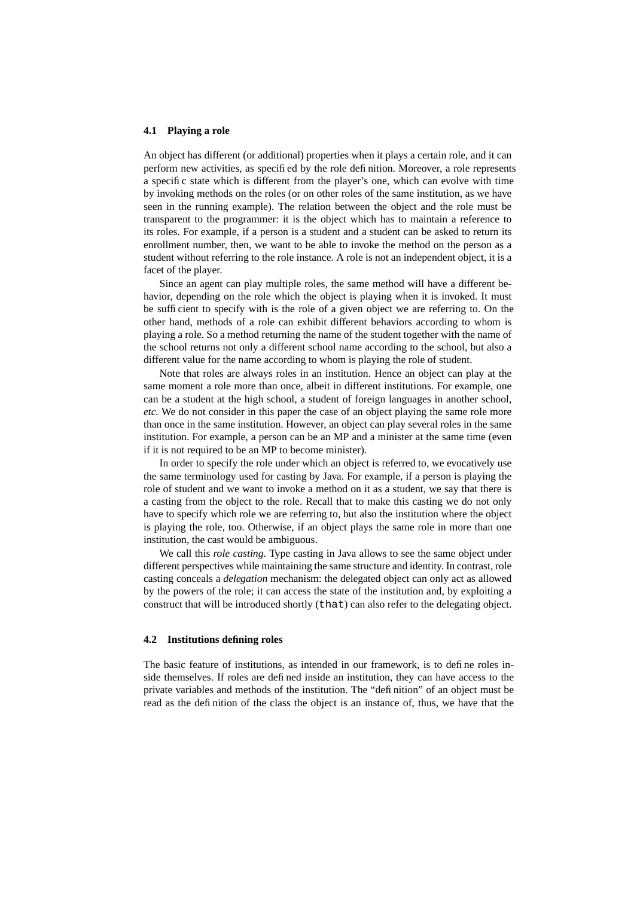#### **4.1 Playing a role**

An object has different (or additional) properties when it plays a certain role, and it can perform new activities, as specified by the role definition. Moreover, a role represents a specific state which is different from the player's one, which can evolve with time by invoking methods on the roles (or on other roles of the same institution, as we have seen in the running example). The relation between the object and the role must be transparent to the programmer: it is the object which has to maintain a reference to its roles. For example, if a person is a student and a student can be asked to return its enrollment number, then, we want to be able to invoke the method on the person as a student without referring to the role instance. A role is not an independent object, it is a facet of the player.

Since an agent can play multiple roles, the same method will have a different behavior, depending on the role which the object is playing when it is invoked. It must be sufficient to specify with is the role of a given object we are referring to. On the other hand, methods of a role can exhibit different behaviors according to whom is playing a role. So a method returning the name of the student together with the name of the school returns not only a different school name according to the school, but also a different value for the name according to whom is playing the role of student.

Note that roles are always roles in an institution. Hence an object can play at the same moment a role more than once, albeit in different institutions. For example, one can be a student at the high school, a student of foreign languages in another school, *etc.* We do not consider in this paper the case of an object playing the same role more than once in the same institution. However, an object can play several roles in the same institution. For example, a person can be an MP and a minister at the same time (even if it is not required to be an MP to become minister).

In order to specify the role under which an object is referred to, we evocatively use the same terminology used for casting by Java. For example, if a person is playing the role of student and we want to invoke a method on it as a student, we say that there is a casting from the object to the role. Recall that to make this casting we do not only have to specify which role we are referring to, but also the institution where the object is playing the role, too. Otherwise, if an object plays the same role in more than one institution, the cast would be ambiguous.

We call this *role casting*. Type casting in Java allows to see the same object under different perspectives while maintaining the same structure and identity. In contrast, role casting conceals a *delegation* mechanism: the delegated object can only act as allowed by the powers of the role; it can access the state of the institution and, by exploiting a construct that will be introduced shortly (that) can also refer to the delegating object.

#### **4.2 Institutions defining roles**

The basic feature of institutions, as intended in our framework, is to define roles inside themselves. If roles are defined inside an institution, they can have access to the private variables and methods of the institution. The "definition" of an object must be read as the definition of the class the object is an instance of, thus, we have that the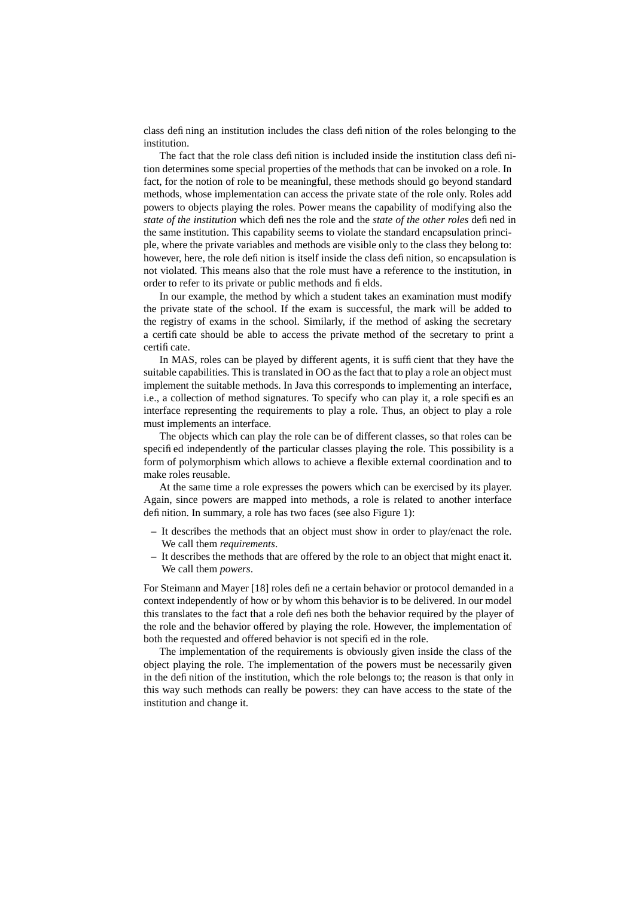class defining an institution includes the class definition of the roles belonging to the institution.

The fact that the role class definition is included inside the institution class definition determines some special properties of the methods that can be invoked on a role. In fact, for the notion of role to be meaningful, these methods should go beyond standard methods, whose implementation can access the private state of the role only. Roles add powers to objects playing the roles. Power means the capability of modifying also the *state of the institution* which defines the role and the *state of the other roles* defined in the same institution. This capability seems to violate the standard encapsulation principle, where the private variables and methods are visible only to the class they belong to: however, here, the role definition is itself inside the class definition, so encapsulation is not violated. This means also that the role must have a reference to the institution, in order to refer to its private or public methods and fields.

In our example, the method by which a student takes an examination must modify the private state of the school. If the exam is successful, the mark will be added to the registry of exams in the school. Similarly, if the method of asking the secretary a certificate should be able to access the private method of the secretary to print a certificate.

In MAS, roles can be played by different agents, it is sufficient that they have the suitable capabilities. This is translated in OO as the fact that to play a role an object must implement the suitable methods. In Java this corresponds to implementing an interface, i.e., a collection of method signatures. To specify who can play it, a role specifies an interface representing the requirements to play a role. Thus, an object to play a role must implements an interface.

The objects which can play the role can be of different classes, so that roles can be specified independently of the particular classes playing the role. This possibility is a form of polymorphism which allows to achieve a flexible external coordination and to make roles reusable.

At the same time a role expresses the powers which can be exercised by its player. Again, since powers are mapped into methods, a role is related to another interface definition. In summary, a role has two faces (see also Figure 1):

- **–** It describes the methods that an object must show in order to play/enact the role. We call them *requirements*.
- **–** It describes the methods that are offered by the role to an object that might enact it. We call them *powers*.

For Steimann and Mayer [18] roles define a certain behavior or protocol demanded in a context independently of how or by whom this behavior is to be delivered. In our model this translates to the fact that a role defines both the behavior required by the player of the role and the behavior offered by playing the role. However, the implementation of both the requested and offered behavior is not specified in the role.

The implementation of the requirements is obviously given inside the class of the object playing the role. The implementation of the powers must be necessarily given in the definition of the institution, which the role belongs to; the reason is that only in this way such methods can really be powers: they can have access to the state of the institution and change it.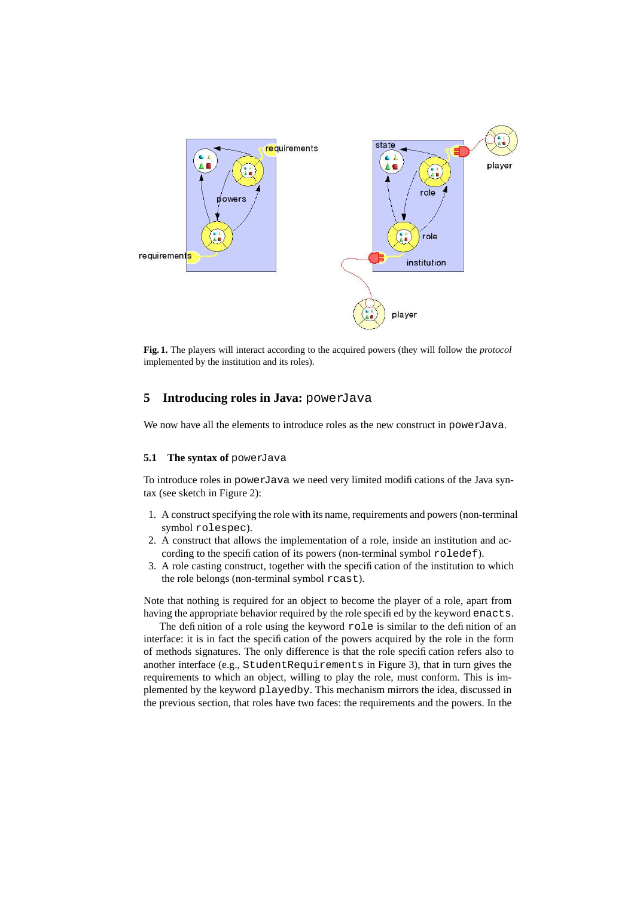

**Fig. 1.** The players will interact according to the acquired powers (they will follow the *protocol* implemented by the institution and its roles).

# **5 Introducing roles in Java:** powerJava

We now have all the elements to introduce roles as the new construct in powerJava.

#### **5.1 The syntax of** powerJava

To introduce roles in powerJava we need very limited modifications of the Java syntax (see sketch in Figure 2):

- 1. A construct specifying the role with its name, requirements and powers (non-terminal symbol rolespec).
- 2. A construct that allows the implementation of a role, inside an institution and according to the specification of its powers (non-terminal symbol roledef).
- 3. A role casting construct, together with the specification of the institution to which the role belongs (non-terminal symbol rcast).

Note that nothing is required for an object to become the player of a role, apart from having the appropriate behavior required by the role specified by the keyword enacts.

The definition of a role using the keyword role is similar to the definition of an interface: it is in fact the specification of the powers acquired by the role in the form of methods signatures. The only difference is that the role specification refers also to another interface (e.g., StudentRequirements in Figure 3), that in turn gives the requirements to which an object, willing to play the role, must conform. This is implemented by the keyword playedby. This mechanism mirrors the idea, discussed in the previous section, that roles have two faces: the requirements and the powers. In the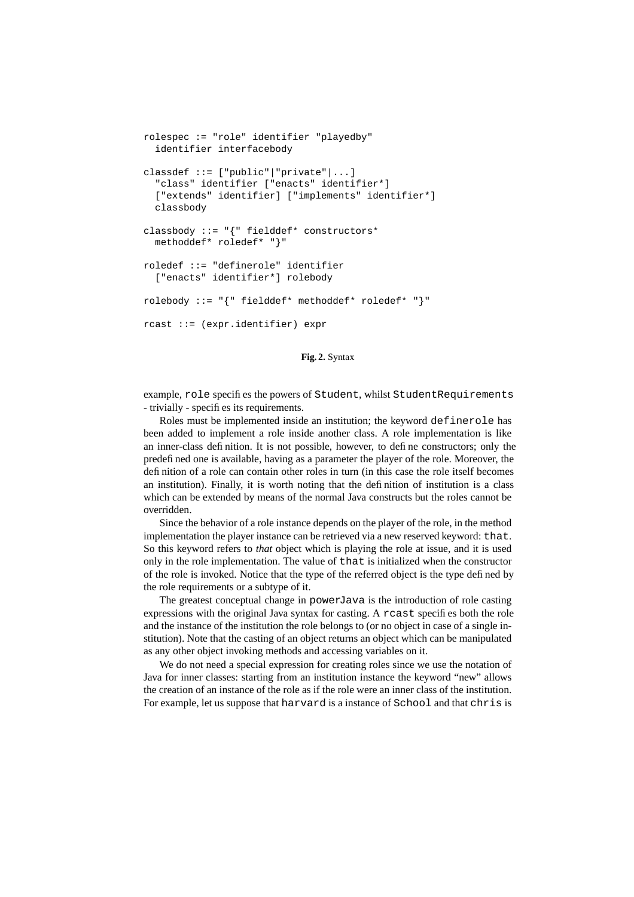```
rolespec := "role" identifier "playedby"
  identifier interfacebody
classdef ::= ["public"|"private"|...]
  "class" identifier ["enacts" identifier*]
  ["extends" identifier] ["implements" identifier*]
 classbody
classbody ::= "{" fielddef* constructors*
 methoddef* roledef* "}"
roledef ::= "definerole" identifier
  ["enacts" identifier*] rolebody
rolebody ::= "{" fielddef* methoddef* roledef* "}"
rcast ::= (expr.identifier) expr
```
#### **Fig. 2.** Syntax

example, role specifies the powers of Student, whilst StudentRequirements - trivially - specifies its requirements.

Roles must be implemented inside an institution; the keyword definerole has been added to implement a role inside another class. A role implementation is like an inner-class definition. It is not possible, however, to define constructors; only the predefined one is available, having as a parameter the player of the role. Moreover, the definition of a role can contain other roles in turn (in this case the role itself becomes an institution). Finally, it is worth noting that the definition of institution is a class which can be extended by means of the normal Java constructs but the roles cannot be overridden.

Since the behavior of a role instance depends on the player of the role, in the method implementation the player instance can be retrieved via a new reserved keyword: that. So this keyword refers to *that* object which is playing the role at issue, and it is used only in the role implementation. The value of that is initialized when the constructor of the role is invoked. Notice that the type of the referred object is the type defined by the role requirements or a subtype of it.

The greatest conceptual change in powerJava is the introduction of role casting expressions with the original Java syntax for casting. A rcast specifies both the role and the instance of the institution the role belongs to (or no object in case of a single institution). Note that the casting of an object returns an object which can be manipulated as any other object invoking methods and accessing variables on it.

We do not need a special expression for creating roles since we use the notation of Java for inner classes: starting from an institution instance the keyword "new" allows the creation of an instance of the role as if the role were an inner class of the institution. For example, let us suppose that harvard is a instance of School and that chris is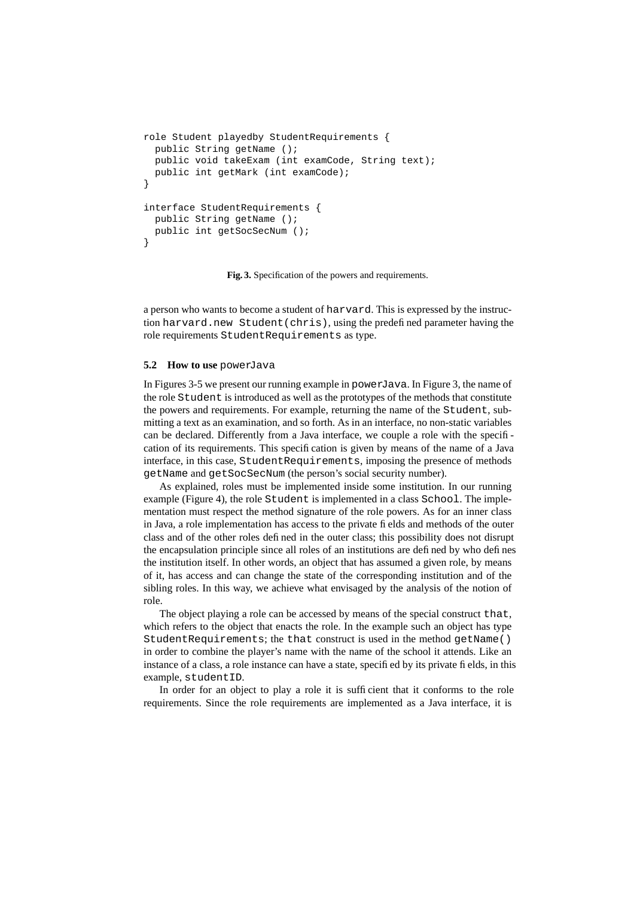```
role Student playedby StudentRequirements {
  public String getName ();
  public void takeExam (int examCode, String text);
  public int getMark (int examCode);
}
interface StudentRequirements {
  public String getName ();
  public int getSocSecNum ();
}
```
**Fig. 3.** Specification of the powers and requirements.

a person who wants to become a student of harvard. This is expressed by the instruction harvard.new Student(chris), using the predefined parameter having the role requirements StudentRequirements as type.

#### **5.2 How to use** powerJava

In Figures 3-5 we present our running example in powerJava. In Figure 3, the name of the role Student is introduced as well as the prototypes of the methods that constitute the powers and requirements. For example, returning the name of the Student, submitting a text as an examination, and so forth. As in an interface, no non-static variables can be declared. Differently from a Java interface, we couple a role with the specification of its requirements. This specification is given by means of the name of a Java interface, in this case, StudentRequirements, imposing the presence of methods getName and getSocSecNum (the person's social security number).

As explained, roles must be implemented inside some institution. In our running example (Figure 4), the role Student is implemented in a class School. The implementation must respect the method signature of the role powers. As for an inner class in Java, a role implementation has access to the private fields and methods of the outer class and of the other roles defined in the outer class; this possibility does not disrupt the encapsulation principle since all roles of an institutions are defined by who defines the institution itself. In other words, an object that has assumed a given role, by means of it, has access and can change the state of the corresponding institution and of the sibling roles. In this way, we achieve what envisaged by the analysis of the notion of role.

The object playing a role can be accessed by means of the special construct that, which refers to the object that enacts the role. In the example such an object has type StudentRequirements; the that construct is used in the method getName() in order to combine the player's name with the name of the school it attends. Like an instance of a class, a role instance can have a state, specified by its private fields, in this example, studentID.

In order for an object to play a role it is sufficient that it conforms to the role requirements. Since the role requirements are implemented as a Java interface, it is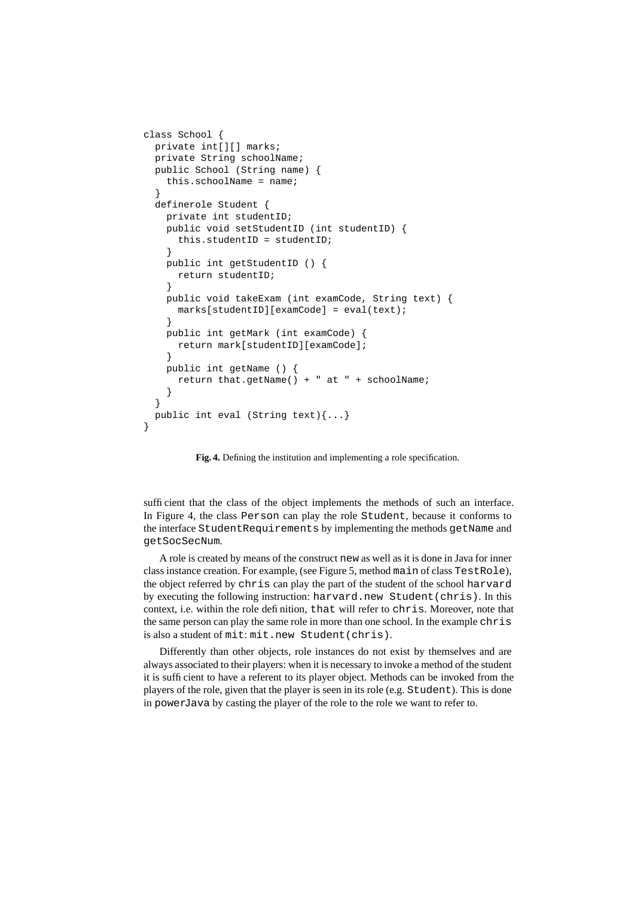```
class School {
  private int[][] marks;
  private String schoolName;
  public School (String name) {
    this.schoolName = name;
  }
  definerole Student {
    private int studentID;
    public void setStudentID (int studentID) {
      this.studentID = studentID;
    }
    public int getStudentID () {
     return studentID;
    }
    public void takeExam (int examCode, String text) {
      marks[studentID][examCode] = eval(text);
    }
    public int getMark (int examCode) {
      return mark[studentID][examCode];
    }
    public int getName () {
      return that.getName() + " at " + schoolName;
    }
  }
  public int eval (String text){...}
}
```
**Fig. 4.** Defining the institution and implementing a role specification.

sufficient that the class of the object implements the methods of such an interface. In Figure 4, the class Person can play the role Student, because it conforms to the interface StudentRequirements by implementing the methods getName and getSocSecNum.

A role is created by means of the construct new as well as it is done in Java for inner class instance creation. For example, (see Figure 5, method main of class TestRole), the object referred by chris can play the part of the student of the school harvard by executing the following instruction: harvard.new Student(chris). In this context, i.e. within the role definition, that will refer to chris. Moreover, note that the same person can play the same role in more than one school. In the example chris is also a student of mit: mit.new Student(chris).

Differently than other objects, role instances do not exist by themselves and are always associated to their players: when it is necessary to invoke a method of the student it is sufficient to have a referent to its player object. Methods can be invoked from the players of the role, given that the player is seen in its role (e.g. Student). This is done in powerJava by casting the player of the role to the role we want to refer to.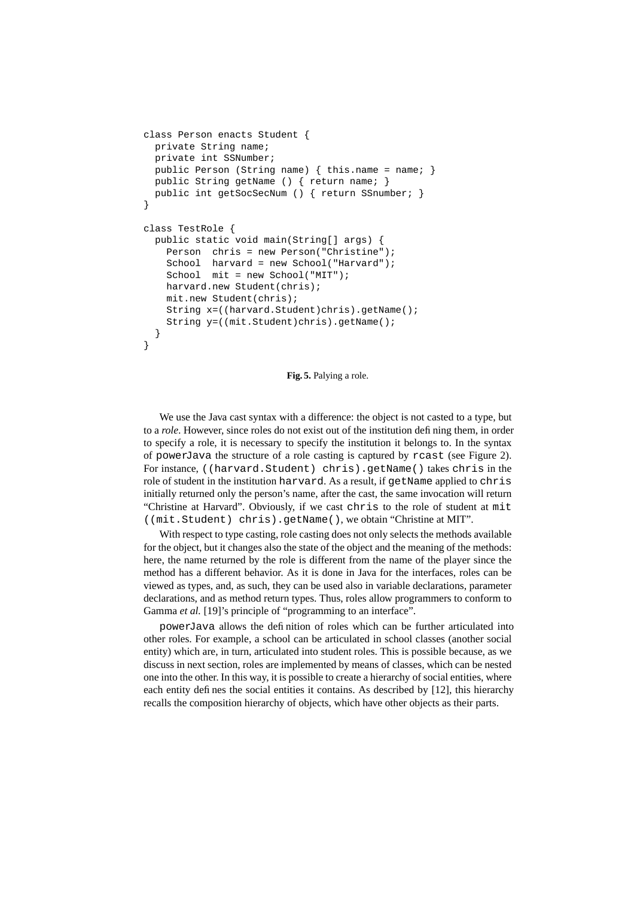```
class Person enacts Student {
 private String name;
 private int SSNumber;
 public Person (String name) { this.name = name; }
 public String getName () { return name; }
  public int getSocSecNum () { return SSnumber; }
}
class TestRole {
 public static void main(String[] args) {
    Person chris = new Person("Christine");
    School harvard = new School("Harvard");
    School mit = new School("MIT");
    harvard.new Student(chris);
   mit.new Student(chris);
    String x=((harvard.Student)chris).getName();
    String y=((mit.Student)chris).getName();
  }
}
```
**Fig. 5.** Palying a role.

We use the Java cast syntax with a difference: the object is not casted to a type, but to a *role*. However, since roles do not exist out of the institution defining them, in order to specify a role, it is necessary to specify the institution it belongs to. In the syntax of powerJava the structure of a role casting is captured by rcast (see Figure 2). For instance, ((harvard.Student) chris).getName() takes chris in the role of student in the institution harvard. As a result, if getName applied to chris initially returned only the person's name, after the cast, the same invocation will return "Christine at Harvard". Obviously, if we cast chris to the role of student at mit ((mit.Student) chris).getName(), we obtain "Christine at MIT".

With respect to type casting, role casting does not only selects the methods available for the object, but it changes also the state of the object and the meaning of the methods: here, the name returned by the role is different from the name of the player since the method has a different behavior. As it is done in Java for the interfaces, roles can be viewed as types, and, as such, they can be used also in variable declarations, parameter declarations, and as method return types. Thus, roles allow programmers to conform to Gamma *et al.* [19]'s principle of "programming to an interface".

powerJava allows the definition of roles which can be further articulated into other roles. For example, a school can be articulated in school classes (another social entity) which are, in turn, articulated into student roles. This is possible because, as we discuss in next section, roles are implemented by means of classes, which can be nested one into the other. In this way, it is possible to create a hierarchy of social entities, where each entity defines the social entities it contains. As described by [12], this hierarchy recalls the composition hierarchy of objects, which have other objects as their parts.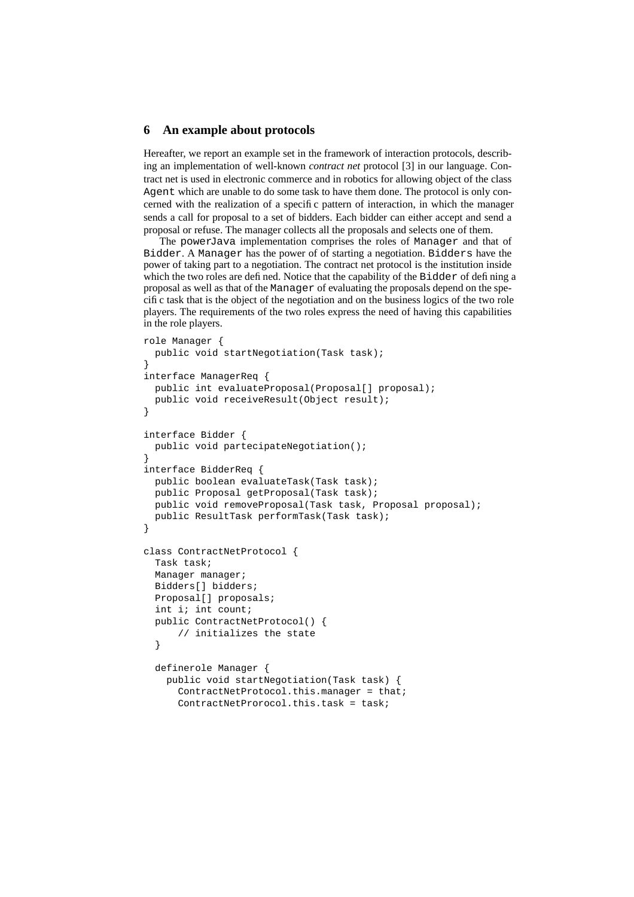## **6 An example about protocols**

Hereafter, we report an example set in the framework of interaction protocols, describing an implementation of well-known *contract net* protocol [3] in our language. Contract net is used in electronic commerce and in robotics for allowing object of the class Agent which are unable to do some task to have them done. The protocol is only concerned with the realization of a specific pattern of interaction, in which the manager sends a call for proposal to a set of bidders. Each bidder can either accept and send a proposal or refuse. The manager collects all the proposals and selects one of them.

The powerJava implementation comprises the roles of Manager and that of Bidder. A Manager has the power of of starting a negotiation. Bidders have the power of taking part to a negotiation. The contract net protocol is the institution inside which the two roles are defined. Notice that the capability of the Bidder of defining a proposal as well as that of the Manager of evaluating the proposals depend on the specific task that is the object of the negotiation and on the business logics of the two role players. The requirements of the two roles express the need of having this capabilities in the role players.

```
role Manager {
  public void startNegotiation(Task task);
}
interface ManagerReq {
  public int evaluateProposal(Proposal[] proposal);
  public void receiveResult(Object result);
}
interface Bidder {
  public void partecipateNegotiation();
}
interface BidderReq {
  public boolean evaluateTask(Task task);
  public Proposal getProposal(Task task);
  public void removeProposal(Task task, Proposal proposal);
  public ResultTask performTask(Task task);
}
class ContractNetProtocol {
  Task task;
  Manager manager;
  Bidders[] bidders;
  Proposal[] proposals;
  int i; int count;
  public ContractNetProtocol() {
      // initializes the state
  }
  definerole Manager {
    public void startNegotiation(Task task) {
      ContractNetProtocol.this.manager = that;
      ContractNetProrocol.this.task = task;
```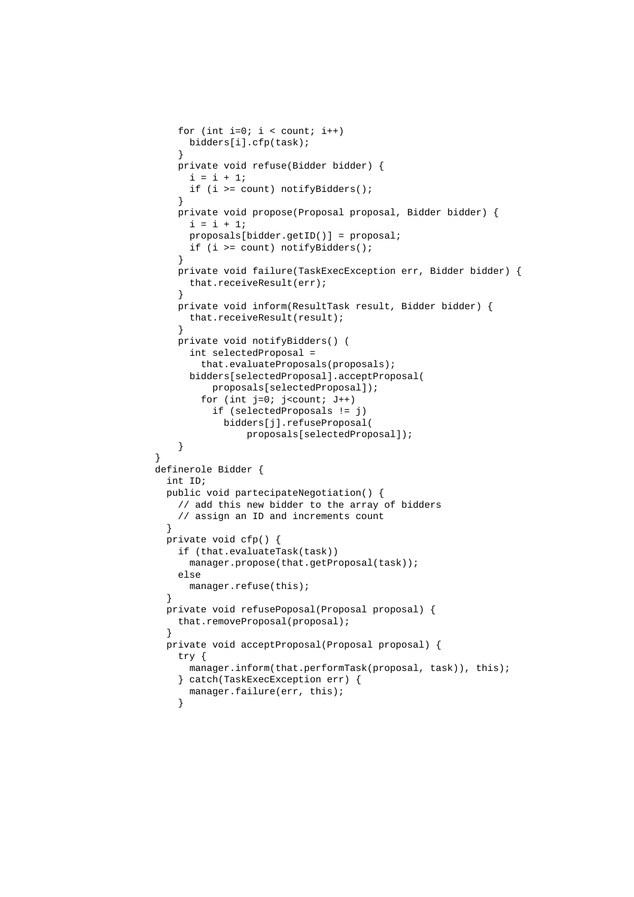```
for (int i=0; i < count; i++)
      bidders[i].cfp(task);
    }
    private void refuse(Bidder bidder) {
     i = i + 1;if (i >= count) notifyBidders();
    }
   private void propose(Proposal proposal, Bidder bidder) {
     i = i + 1;proposals[bidder.getID()] = proposal;
     if (i >= count) notifyBidders();
    }
    private void failure(TaskExecException err, Bidder bidder) {
      that.receiveResult(err);
    }
    private void inform(ResultTask result, Bidder bidder) {
      that.receiveResult(result);
    }
   private void notifyBidders() (
      int selectedProposal =
        that.evaluateProposals(proposals);
      bidders[selectedProposal].acceptProposal(
          proposals[selectedProposal]);
        for (int j=0; j<count; J++)
          if (selectedProposals != j)
            bidders[j].refuseProposal(
                proposals[selectedProposal]);
    }
}
definerole Bidder {
 int ID;
 public void partecipateNegotiation() {
    // add this new bidder to the array of bidders
    // assign an ID and increments count
  }
 private void cfp() {
    if (that.evaluateTask(task))
     manager.propose(that.getProposal(task));
    else
     manager.refuse(this);
  }
 private void refusePoposal(Proposal proposal) {
    that.removeProposal(proposal);
  }
 private void acceptProposal(Proposal proposal) {
    try {
     manager.inform(that.performTask(proposal, task)), this);
    } catch(TaskExecException err) {
     manager.failure(err, this);
    }
```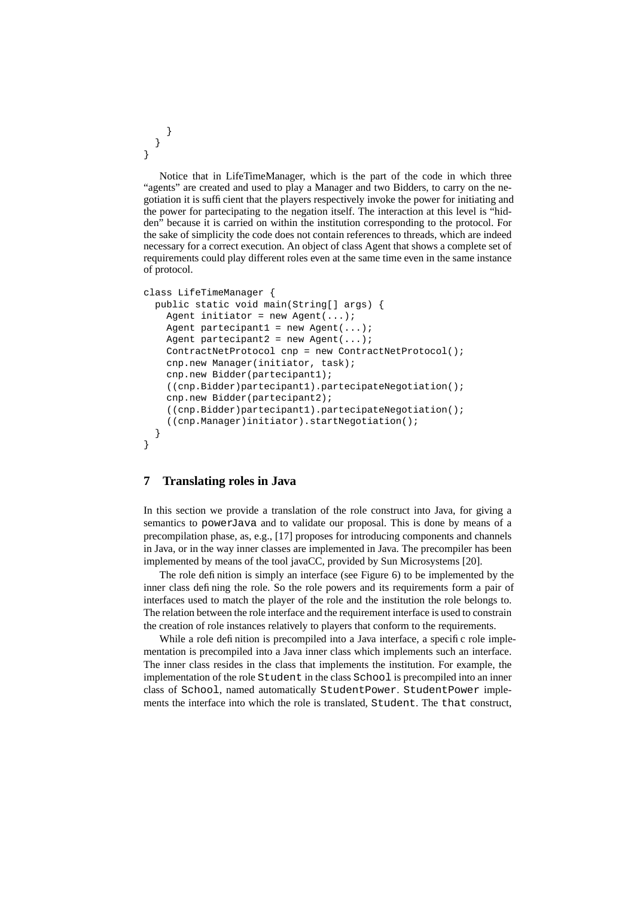Notice that in LifeTimeManager, which is the part of the code in which three "agents" are created and used to play a Manager and two Bidders, to carry on the negotiation it is sufficient that the players respectively invoke the power for initiating and the power for partecipating to the negation itself. The interaction at this level is "hidden" because it is carried on within the institution corresponding to the protocol. For the sake of simplicity the code does not contain references to threads, which are indeed necessary for a correct execution. An object of class Agent that shows a complete set of requirements could play different roles even at the same time even in the same instance of protocol.

```
class LifeTimeManager {
 public static void main(String[] args) {
   Agent initiator = new Agent(...);Agent partecipant1 = new Agent(i...);Agent partecipant2 = new Agent(...);
   ContractNetProtocol cnp = new ContractNetProtocol();
   cnp.new Manager(initiator, task);
    cnp.new Bidder(partecipant1);
    ((cnp.Bidder)partecipant1).partecipateNegotiation();
   cnp.new Bidder(partecipant2);
    ((cnp.Bidder)partecipant1).partecipateNegotiation();
    ((cnp.Manager)initiator).startNegotiation();
  }
}
```
## **7 Translating roles in Java**

} } }

In this section we provide a translation of the role construct into Java, for giving a semantics to powerJava and to validate our proposal. This is done by means of a precompilation phase, as, e.g., [17] proposes for introducing components and channels in Java, or in the way inner classes are implemented in Java. The precompiler has been implemented by means of the tool javaCC, provided by Sun Microsystems [20].

The role definition is simply an interface (see Figure 6) to be implemented by the inner class defining the role. So the role powers and its requirements form a pair of interfaces used to match the player of the role and the institution the role belongs to. The relation between the role interface and the requirement interface is used to constrain the creation of role instances relatively to players that conform to the requirements.

While a role definition is precompiled into a Java interface, a specific role implementation is precompiled into a Java inner class which implements such an interface. The inner class resides in the class that implements the institution. For example, the implementation of the role Student in the class School is precompiled into an inner class of School, named automatically StudentPower. StudentPower implements the interface into which the role is translated, Student. The that construct,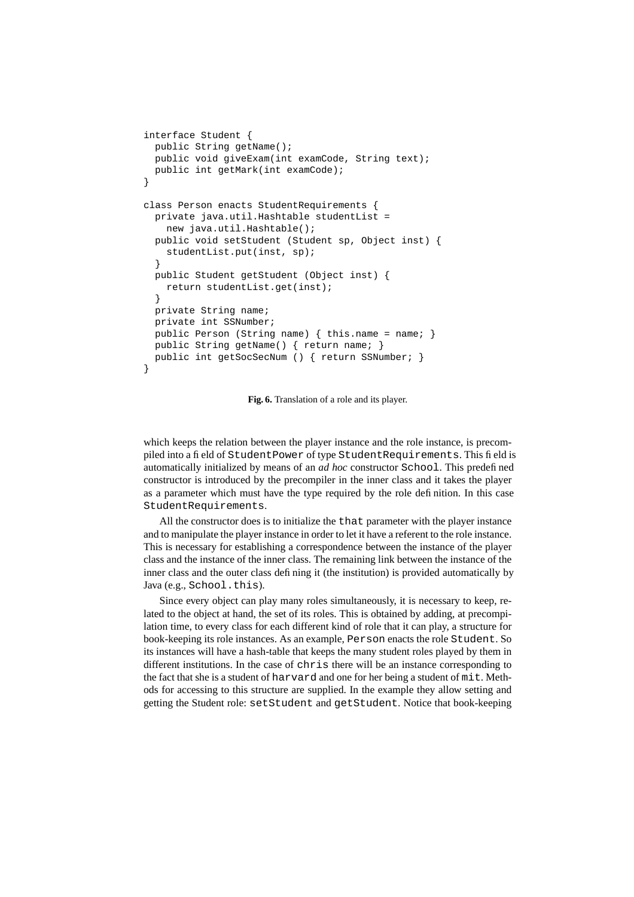```
interface Student {
 public String getName();
 public void giveExam(int examCode, String text);
 public int getMark(int examCode);
}
class Person enacts StudentRequirements {
 private java.util.Hashtable studentList =
   new java.util.Hashtable();
  public void setStudent (Student sp, Object inst) {
    studentList.put(inst, sp);
  }
 public Student getStudent (Object inst) {
   return studentList.get(inst);
  }
  private String name;
  private int SSNumber;
  public Person (String name) { this.name = name; }
 public String getName() { return name; }
 public int getSocSecNum () { return SSNumber; }
}
```
**Fig. 6.** Translation of a role and its player.

which keeps the relation between the player instance and the role instance, is precompiled into a field of StudentPower of type StudentRequirements. This field is automatically initialized by means of an *ad hoc* constructor School. This predefined constructor is introduced by the precompiler in the inner class and it takes the player as a parameter which must have the type required by the role definition. In this case StudentRequirements.

All the constructor does is to initialize the that parameter with the player instance and to manipulate the player instance in order to let it have a referent to the role instance. This is necessary for establishing a correspondence between the instance of the player class and the instance of the inner class. The remaining link between the instance of the inner class and the outer class defining it (the institution) is provided automatically by Java (e.g., School.this).

Since every object can play many roles simultaneously, it is necessary to keep, related to the object at hand, the set of its roles. This is obtained by adding, at precompilation time, to every class for each different kind of role that it can play, a structure for book-keeping its role instances. As an example, Person enacts the role Student. So its instances will have a hash-table that keeps the many student roles played by them in different institutions. In the case of chris there will be an instance corresponding to the fact that she is a student of harvard and one for her being a student of mit. Methods for accessing to this structure are supplied. In the example they allow setting and getting the Student role: setStudent and getStudent. Notice that book-keeping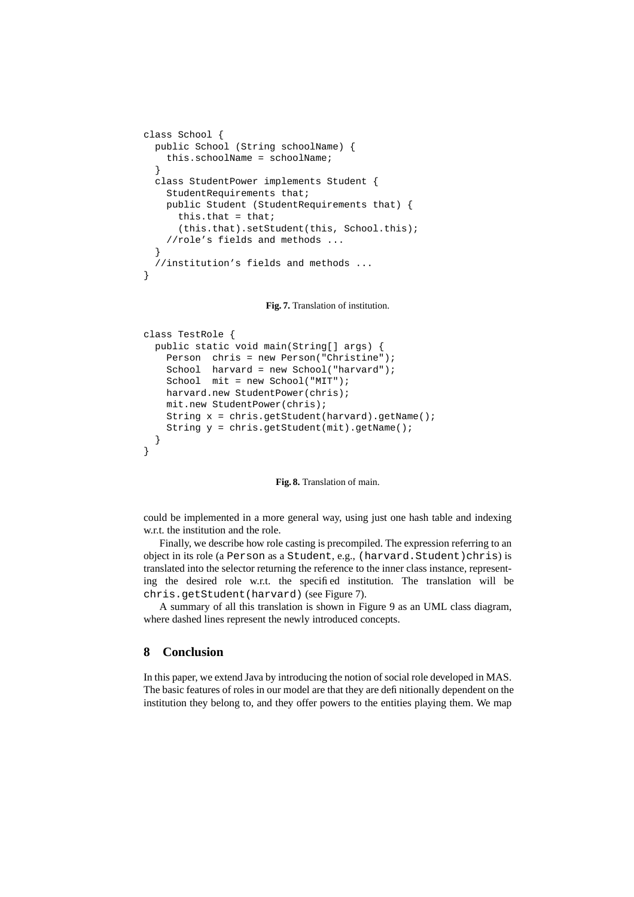```
class School {
  public School (String schoolName) {
    this.schoolName = schoolName;
  }
  class StudentPower implements Student {
    StudentRequirements that;
    public Student (StudentRequirements that) {
      this.that = that;
      (this.that).setStudent(this, School.this);
    //role's fields and methods ...
  }
  //institution's fields and methods ...
}
```
**Fig. 7.** Translation of institution.

```
class TestRole {
 public static void main(String[] args) {
   Person chris = new Person("Christine");
    School harvard = new School("harvard");
    School mit = new School("MIT");
   harvard.new StudentPower(chris);
   mit.new StudentPower(chris);
   String x = chris.getStudent(harvard).getName();
    String y = chris.getStudent(mit).getName();
  }
}
```
### **Fig. 8.** Translation of main.

could be implemented in a more general way, using just one hash table and indexing w.r.t. the institution and the role.

Finally, we describe how role casting is precompiled. The expression referring to an object in its role (a Person as a Student, e.g., (harvard.Student)chris) is translated into the selector returning the reference to the inner class instance, representing the desired role w.r.t. the specified institution. The translation will be chris.getStudent(harvard) (see Figure 7).

A summary of all this translation is shown in Figure 9 as an UML class diagram, where dashed lines represent the newly introduced concepts.

## **8 Conclusion**

In this paper, we extend Java by introducing the notion of social role developed in MAS. The basic features of roles in our model are that they are definitionally dependent on the institution they belong to, and they offer powers to the entities playing them. We map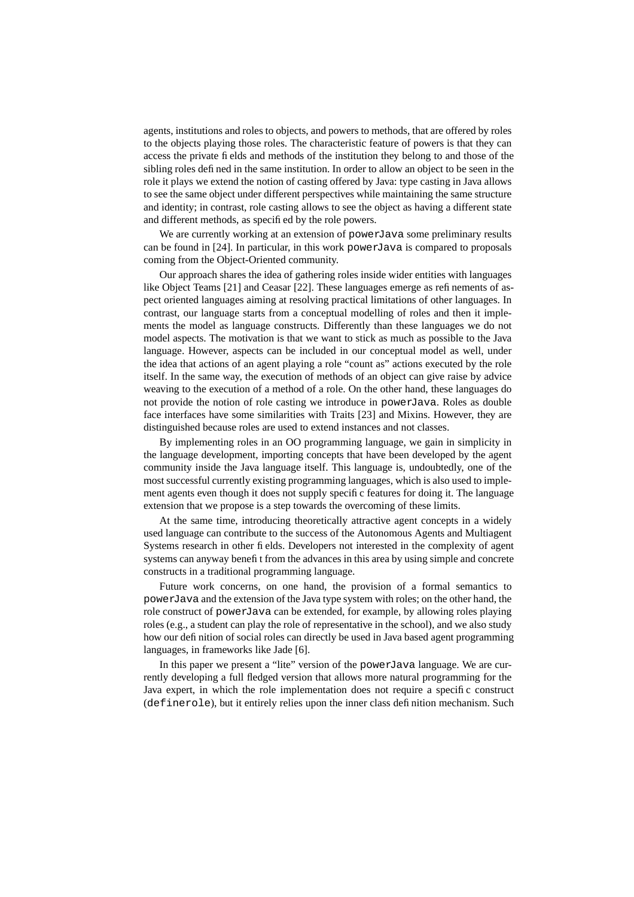agents, institutions and roles to objects, and powers to methods, that are offered by roles to the objects playing those roles. The characteristic feature of powers is that they can access the private fields and methods of the institution they belong to and those of the sibling roles defined in the same institution. In order to allow an object to be seen in the role it plays we extend the notion of casting offered by Java: type casting in Java allows to see the same object under different perspectives while maintaining the same structure and identity; in contrast, role casting allows to see the object as having a different state and different methods, as specified by the role powers.

We are currently working at an extension of powerJava some preliminary results can be found in  $[24]$ . In particular, in this work powerJava is compared to proposals coming from the Object-Oriented community.

Our approach shares the idea of gathering roles inside wider entities with languages like Object Teams [21] and Ceasar [22]. These languages emerge as refinements of aspect oriented languages aiming at resolving practical limitations of other languages. In contrast, our language starts from a conceptual modelling of roles and then it implements the model as language constructs. Differently than these languages we do not model aspects. The motivation is that we want to stick as much as possible to the Java language. However, aspects can be included in our conceptual model as well, under the idea that actions of an agent playing a role "count as" actions executed by the role itself. In the same way, the execution of methods of an object can give raise by advice weaving to the execution of a method of a role. On the other hand, these languages do not provide the notion of role casting we introduce in powerJava. Roles as double face interfaces have some similarities with Traits [23] and Mixins. However, they are distinguished because roles are used to extend instances and not classes.

By implementing roles in an OO programming language, we gain in simplicity in the language development, importing concepts that have been developed by the agent community inside the Java language itself. This language is, undoubtedly, one of the most successful currently existing programming languages, which is also used to implement agents even though it does not supply specific features for doing it. The language extension that we propose is a step towards the overcoming of these limits.

At the same time, introducing theoretically attractive agent concepts in a widely used language can contribute to the success of the Autonomous Agents and Multiagent Systems research in other fields. Developers not interested in the complexity of agent systems can anyway benefit from the advances in this area by using simple and concrete constructs in a traditional programming language.

Future work concerns, on one hand, the provision of a formal semantics to powerJava and the extension of the Java type system with roles; on the other hand, the role construct of powerJava can be extended, for example, by allowing roles playing roles (e.g., a student can play the role of representative in the school), and we also study how our definition of social roles can directly be used in Java based agent programming languages, in frameworks like Jade [6].

In this paper we present a "lite" version of the powerJava language. We are currently developing a full fledged version that allows more natural programming for the Java expert, in which the role implementation does not require a specific construct (definerole), but it entirely relies upon the inner class definition mechanism. Such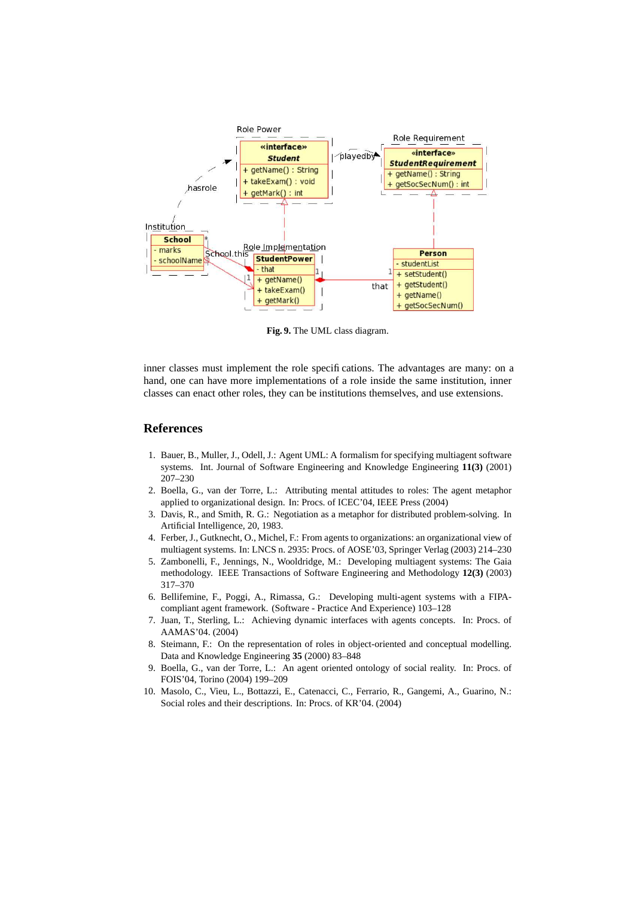

**Fig. 9.** The UML class diagram.

inner classes must implement the role specifications. The advantages are many: on a hand, one can have more implementations of a role inside the same institution, inner classes can enact other roles, they can be institutions themselves, and use extensions.

# **References**

- 1. Bauer, B., Muller, J., Odell, J.: Agent UML: A formalism for specifying multiagent software systems. Int. Journal of Software Engineering and Knowledge Engineering **11(3)** (2001) 207–230
- 2. Boella, G., van der Torre, L.: Attributing mental attitudes to roles: The agent metaphor applied to organizational design. In: Procs. of ICEC'04, IEEE Press (2004)
- 3. Davis, R., and Smith, R. G.: Negotiation as a metaphor for distributed problem-solving. In Artificial Intelligence, 20, 1983.
- 4. Ferber, J., Gutknecht, O., Michel, F.: From agents to organizations: an organizational view of multiagent systems. In: LNCS n. 2935: Procs. of AOSE'03, Springer Verlag (2003) 214–230
- 5. Zambonelli, F., Jennings, N., Wooldridge, M.: Developing multiagent systems: The Gaia methodology. IEEE Transactions of Software Engineering and Methodology **12(3)** (2003) 317–370
- 6. Bellifemine, F., Poggi, A., Rimassa, G.: Developing multi-agent systems with a FIPAcompliant agent framework. (Software - Practice And Experience) 103–128
- 7. Juan, T., Sterling, L.: Achieving dynamic interfaces with agents concepts. In: Procs. of AAMAS'04. (2004)
- 8. Steimann, F.: On the representation of roles in object-oriented and conceptual modelling. Data and Knowledge Engineering **35** (2000) 83–848
- 9. Boella, G., van der Torre, L.: An agent oriented ontology of social reality. In: Procs. of FOIS'04, Torino (2004) 199–209
- 10. Masolo, C., Vieu, L., Bottazzi, E., Catenacci, C., Ferrario, R., Gangemi, A., Guarino, N.: Social roles and their descriptions. In: Procs. of KR'04. (2004)